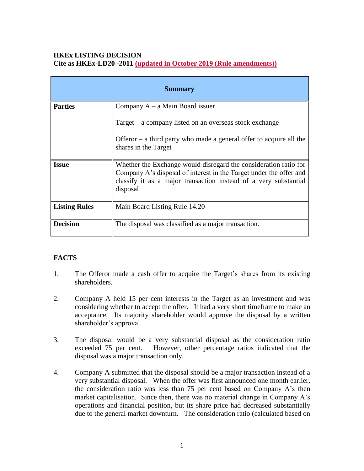## **HKEx LISTING DECISION Cite as HKEx-LD20 -2011 (updated in October 2019 (Rule amendments))**

| <b>Summary</b>       |                                                                                                                                                                                                                        |
|----------------------|------------------------------------------------------------------------------------------------------------------------------------------------------------------------------------------------------------------------|
| <b>Parties</b>       | Company $A - a$ Main Board issuer                                                                                                                                                                                      |
|                      | Target – a company listed on an overseas stock exchange                                                                                                                                                                |
|                      | Offeror $-$ a third party who made a general offer to acquire all the<br>shares in the Target                                                                                                                          |
| <b>Issue</b>         | Whether the Exchange would disregard the consideration ratio for<br>Company A's disposal of interest in the Target under the offer and<br>classify it as a major transaction instead of a very substantial<br>disposal |
| <b>Listing Rules</b> | Main Board Listing Rule 14.20                                                                                                                                                                                          |
| <b>Decision</b>      | The disposal was classified as a major transaction.                                                                                                                                                                    |

# **FACTS**

- 1. The Offeror made a cash offer to acquire the Target's shares from its existing shareholders.
- 2. Company A held 15 per cent interests in the Target as an investment and was considering whether to accept the offer. It had a very short timeframe to make an acceptance. Its majority shareholder would approve the disposal by a written shareholder's approval.
- 3. The disposal would be a very substantial disposal as the consideration ratio exceeded 75 per cent. However, other percentage ratios indicated that the disposal was a major transaction only.
- 4. Company A submitted that the disposal should be a major transaction instead of a very substantial disposal. When the offer was first announced one month earlier, the consideration ratio was less than 75 per cent based on Company A's then market capitalisation. Since then, there was no material change in Company A's operations and financial position, but its share price had decreased substantially due to the general market downturn. The consideration ratio (calculated based on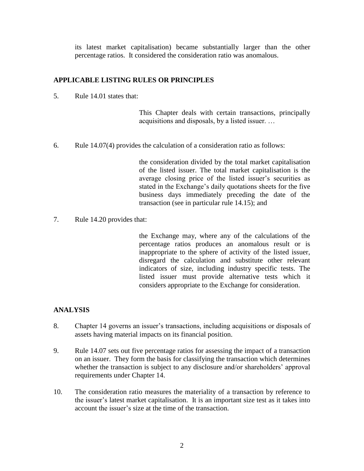its latest market capitalisation) became substantially larger than the other percentage ratios. It considered the consideration ratio was anomalous.

### **APPLICABLE LISTING RULES OR PRINCIPLES**

5. Rule 14.01 states that:

This Chapter deals with certain transactions, principally acquisitions and disposals, by a listed issuer. …

6. Rule 14.07(4) provides the calculation of a consideration ratio as follows:

the consideration divided by the total market capitalisation of the listed issuer. The total market capitalisation is the average closing price of the listed issuer's securities as stated in the Exchange's daily quotations sheets for the five business days immediately preceding the date of the transaction (see in particular rule 14.15); and

7. Rule 14.20 provides that:

the Exchange may, where any of the calculations of the percentage ratios produces an anomalous result or is inappropriate to the sphere of activity of the listed issuer, disregard the calculation and substitute other relevant indicators of size, including industry specific tests. The listed issuer must provide alternative tests which it considers appropriate to the Exchange for consideration.

#### **ANALYSIS**

- 8. Chapter 14 governs an issuer's transactions, including acquisitions or disposals of assets having material impacts on its financial position.
- 9. Rule 14.07 sets out five percentage ratios for assessing the impact of a transaction on an issuer. They form the basis for classifying the transaction which determines whether the transaction is subject to any disclosure and/or shareholders' approval requirements under Chapter 14.
- 10. The consideration ratio measures the materiality of a transaction by reference to the issuer's latest market capitalisation. It is an important size test as it takes into account the issuer's size at the time of the transaction.